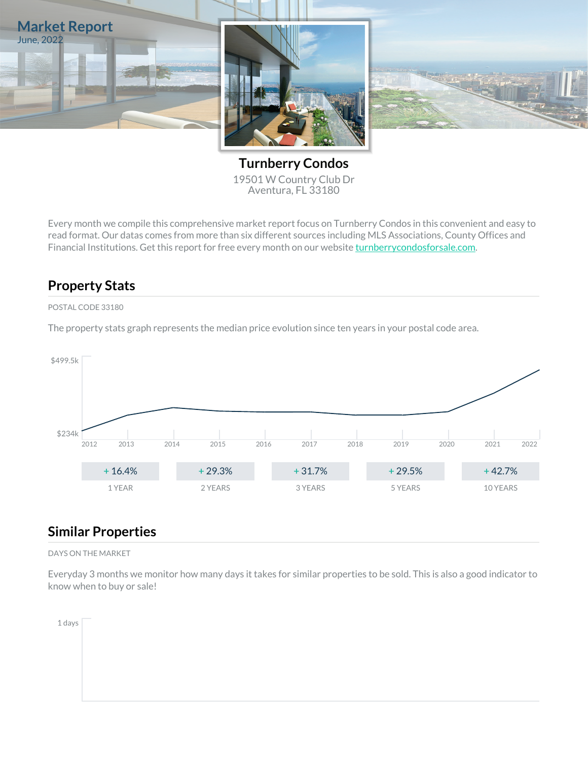

**Turnberry Condos** 19501 W Country Club Dr Aventura, FL 33180

Every month we compile this comprehensive market report focus on Turnberry Condos in this convenient and easy to read format. Our datas comes from more than six different sources including MLS Associations, County Offices and Financial Institutions. Get this report for free every month on our website [turnberrycondosforsale.com](https://turnberrycondosforsale.com).

## **Property Stats**

POSTAL CODE 33180

The property stats graph represents the median price evolution since ten years in your postal code area.



#### **Similar Properties**

DAYS ON THE MARKET

Everyday 3 months we monitor how many days it takes for similar properties to be sold. This is also a good indicator to know when to buy or sale!

1 days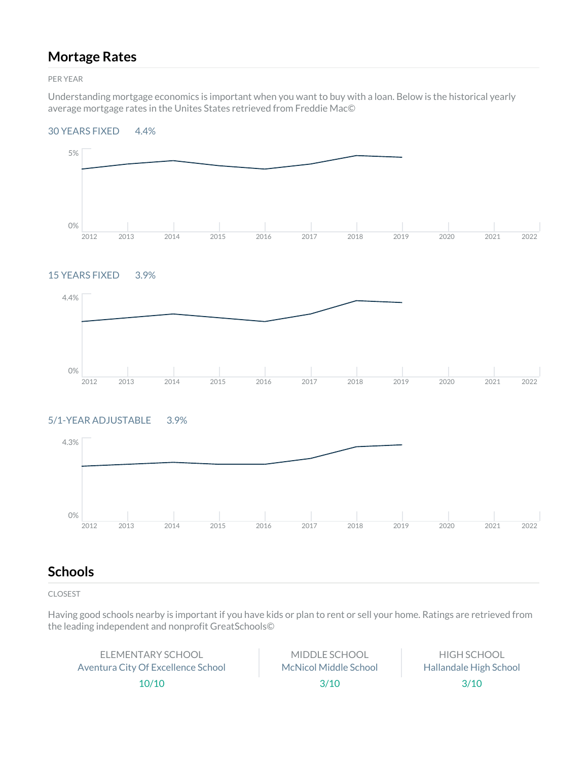## **Mortage Rates**

PER YEAR

Understanding mortgage economics is important when you want to buy with a loan. Below is the historical yearly average mortgage rates in the Unites States retrieved from Freddie Mac©

#### 30 YEARS FIXED 4.4%



#### 15 YEARS FIXED 3.9%



#### 5/1-YEAR ADJUSTABLE 3.9%



## **Schools**

CLOSEST

Having good schools nearby is important if you have kids or plan to rent or sell your home. Ratings are retrieved from the leading independent and nonprofit GreatSchools©

ELEMENTARY SCHOOL Aventura City Of Excellence School 10/10

MIDDLE SCHOOL McNicol Middle School 3/10

HIGH SCHOOL Hallandale High School 3/10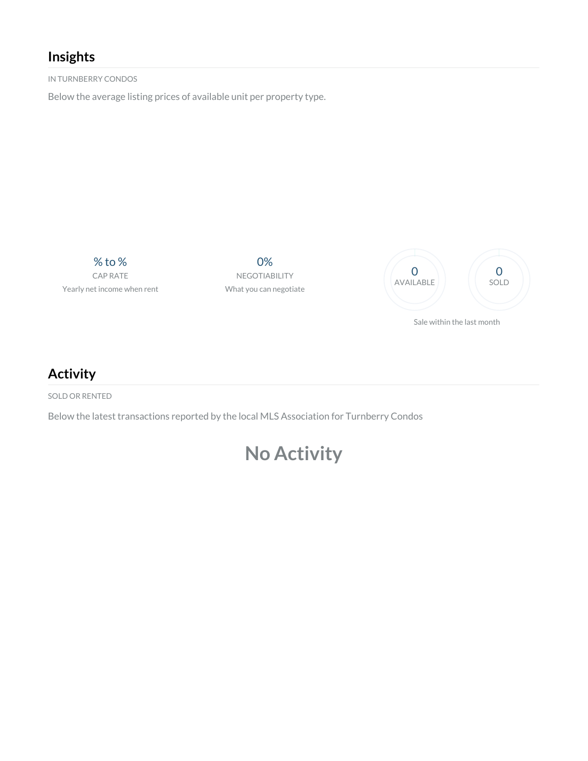# **Insights**

IN TURNBERRY CONDOS

Below the average listing prices of available unit per property type.

% to % CAP RATE Yearly net income when rent

0% NEGOTIABILITY What you can negotiate



**Activity**

SOLD OR RENTED

Below the latest transactions reported by the local MLS Association for Turnberry Condos

# **No Activity**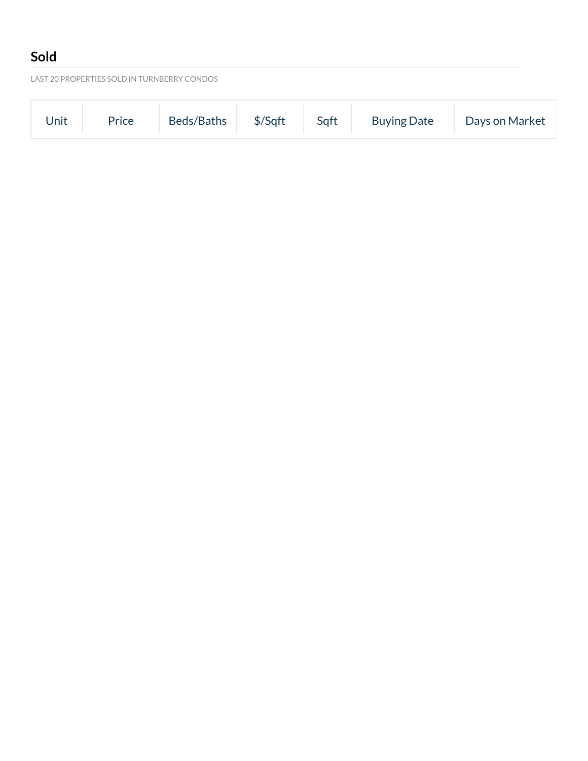# **Sold**

LAST 20 PROPERTIES SOLD IN TURNBERRY CONDOS

| Beds/Baths \$/Sqft Sqft<br><b>Buying Date</b><br>Price<br>Days on Market<br>Unit |
|----------------------------------------------------------------------------------|
|----------------------------------------------------------------------------------|